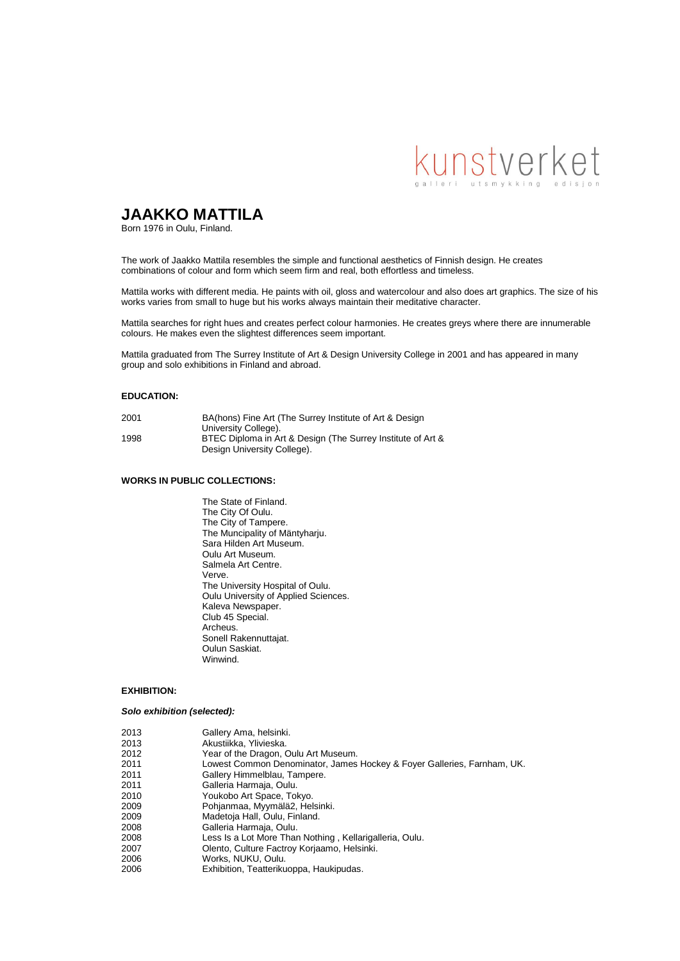

# **JAAKKO MATTILA**

Born 1976 in Oulu, Finland.

The work of Jaakko Mattila resembles the simple and functional aesthetics of Finnish design. He creates combinations of colour and form which seem firm and real, both effortless and timeless.

Mattila works with different media. He paints with oil, gloss and watercolour and also does art graphics. The size of his works varies from small to huge but his works always maintain their meditative character.

Mattila searches for right hues and creates perfect colour harmonies. He creates greys where there are innumerable colours. He makes even the slightest differences seem important.

Mattila graduated from The Surrey Institute of Art & Design University College in 2001 and has appeared in many group and solo exhibitions in Finland and abroad.

#### **EDUCATION:**

| 2001 | BA(hons) Fine Art (The Surrey Institute of Art & Design                                    |
|------|--------------------------------------------------------------------------------------------|
|      | University College).                                                                       |
| 1998 | BTEC Diploma in Art & Design (The Surrey Institute of Art &<br>Design University College). |
|      |                                                                                            |

#### **WORKS IN PUBLIC COLLECTIONS:**

The State of Finland. The City Of Oulu. The City of Tampere. The Muncipality of Mäntyharju. Sara Hilden Art Museum. Oulu Art Museum. Salmela Art Centre. Verve. The University Hospital of Oulu. Oulu University of Applied Sciences. Kaleva Newspaper. Club 45 Special. Archeus. Sonell Rakennuttajat. Oulun Saskiat. **Winwind** 

### **EXHIBITION:**

#### *Solo exhibition (selected):*

| 2013 | Gallery Ama, helsinki.                                                  |
|------|-------------------------------------------------------------------------|
| 2013 | Akustiikka, Ylivieska.                                                  |
| 2012 | Year of the Dragon, Oulu Art Museum.                                    |
| 2011 | Lowest Common Denominator, James Hockey & Foyer Galleries, Farnham, UK. |
| 2011 | Gallery Himmelblau, Tampere.                                            |
| 2011 | Galleria Harmaja, Oulu.                                                 |
| 2010 | Youkobo Art Space, Tokyo.                                               |
| 2009 | Pohjanmaa, Myymälä2, Helsinki.                                          |
| 2009 | Madetoja Hall, Oulu, Finland.                                           |
| 2008 | Galleria Harmaja, Oulu.                                                 |
| 2008 | Less Is a Lot More Than Nothing, Kellarigalleria, Oulu.                 |
| 2007 | Olento, Culture Factroy Korjaamo, Helsinki.                             |
| 2006 | Works, NUKU, Oulu.                                                      |
| 2006 | Exhibition, Teatterikuoppa, Haukipudas.                                 |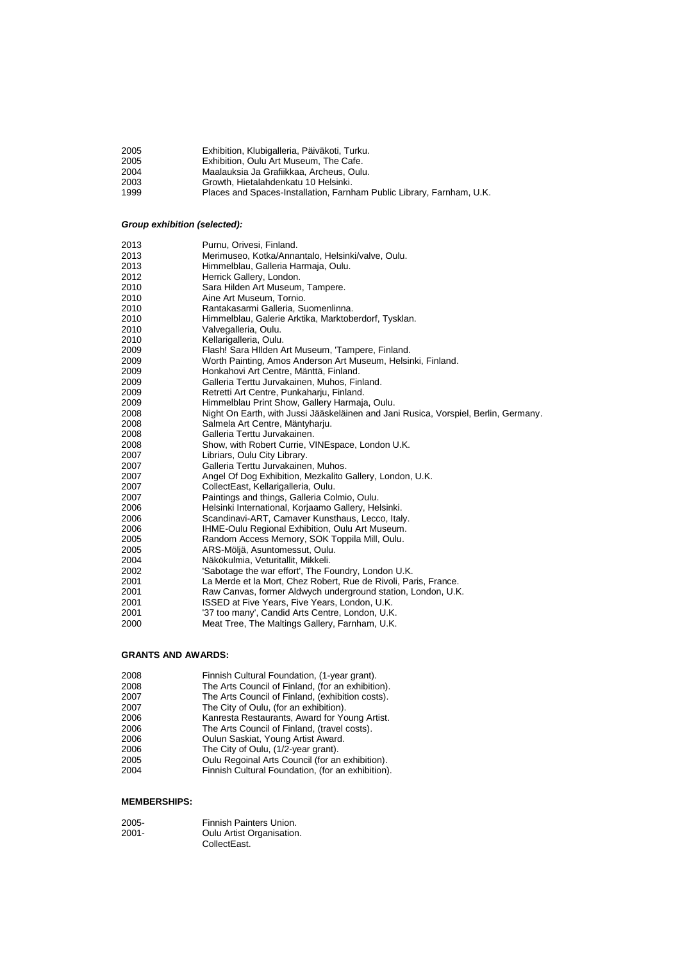| 2005 | Exhibition, Klubigalleria, Päiväkoti, Turku.                          |
|------|-----------------------------------------------------------------------|
| 2005 | Exhibition. Oulu Art Museum. The Cafe.                                |
| 2004 | Maalauksia Ja Grafiikkaa. Archeus. Oulu.                              |
| 2003 | Growth. Hietalahdenkatu 10 Helsinki.                                  |
| 1999 | Places and Spaces-Installation, Farnham Public Library, Farnham, U.K. |

# *Group exhibition (selected):*

| 2013 | Purnu, Orivesi, Finland.                                                            |
|------|-------------------------------------------------------------------------------------|
| 2013 | Merimuseo, Kotka/Annantalo, Helsinki/valve, Oulu.                                   |
| 2013 | Himmelblau, Galleria Harmaja, Oulu.                                                 |
| 2012 | Herrick Gallery, London.                                                            |
| 2010 | Sara Hilden Art Museum, Tampere.                                                    |
| 2010 | Aine Art Museum, Tornio.                                                            |
| 2010 | Rantakasarmi Galleria, Suomenlinna.                                                 |
| 2010 | Himmelblau, Galerie Arktika, Marktoberdorf, Tysklan.                                |
| 2010 | Valvegalleria, Oulu.                                                                |
| 2010 | Kellarigalleria, Oulu.                                                              |
| 2009 | Flash! Sara Hilden Art Museum, 'Tampere, Finland.                                   |
| 2009 | Worth Painting, Amos Anderson Art Museum, Helsinki, Finland.                        |
| 2009 | Honkahovi Art Centre, Mänttä, Finland.                                              |
| 2009 | Galleria Terttu Jurvakainen, Muhos, Finland.                                        |
| 2009 | Retretti Art Centre, Punkaharju, Finland.                                           |
| 2009 | Himmelblau Print Show, Gallery Harmaja, Oulu.                                       |
| 2008 | Night On Earth, with Jussi Jääskeläinen and Jani Rusica, Vorspiel, Berlin, Germany. |
| 2008 | Salmela Art Centre, Mäntyharju.                                                     |
| 2008 | Galleria Terttu Jurvakainen.                                                        |
| 2008 | Show, with Robert Currie, VINEspace, London U.K.                                    |
| 2007 | Libriars, Oulu City Library.                                                        |
| 2007 | Galleria Terttu Jurvakainen, Muhos.                                                 |
| 2007 | Angel Of Dog Exhibition, Mezkalito Gallery, London, U.K.                            |
| 2007 | CollectEast, Kellarigalleria, Oulu.                                                 |
| 2007 | Paintings and things, Galleria Colmio, Oulu.                                        |
| 2006 | Helsinki International, Korjaamo Gallery, Helsinki.                                 |
| 2006 | Scandinavi-ART, Camaver Kunsthaus, Lecco, Italy.                                    |
| 2006 | IHME-Oulu Regional Exhibition, Oulu Art Museum.                                     |
| 2005 | Random Access Memory, SOK Toppila Mill, Oulu.                                       |
| 2005 | ARS-Möljä, Asuntomessut, Oulu.                                                      |
| 2004 | Näkökulmia, Veturitallit, Mikkeli.                                                  |
| 2002 | 'Sabotage the war effort', The Foundry, London U.K.                                 |
| 2001 | La Merde et la Mort, Chez Robert, Rue de Rivoli, Paris, France.                     |
| 2001 | Raw Canvas, former Aldwych underground station, London, U.K.                        |
| 2001 | ISSED at Five Years, Five Years, London, U.K.                                       |
| 2001 | '37 too many', Candid Arts Centre, London, U.K.                                     |
| 2000 | Meat Tree, The Maltings Gallery, Farnham, U.K.                                      |
|      |                                                                                     |

# **GRANTS AND AWARDS:**

| 2008 | Finnish Cultural Foundation, (1-year grant).      |
|------|---------------------------------------------------|
| 2008 | The Arts Council of Finland, (for an exhibition). |
| 2007 | The Arts Council of Finland, (exhibition costs).  |
| 2007 | The City of Oulu, (for an exhibition).            |
| 2006 | Kanresta Restaurants, Award for Young Artist.     |
| 2006 | The Arts Council of Finland, (travel costs).      |
| 2006 | Oulun Saskiat, Young Artist Award.                |
| 2006 | The City of Oulu, (1/2-year grant).               |
| 2005 | Oulu Regoinal Arts Council (for an exhibition).   |
| 2004 | Finnish Cultural Foundation, (for an exhibition). |

## **MEMBERSHIPS:**

| $2005 -$ | Finnish Painters Union.   |
|----------|---------------------------|
| 2001-    | Oulu Artist Organisation. |
|          | CollectEast.              |